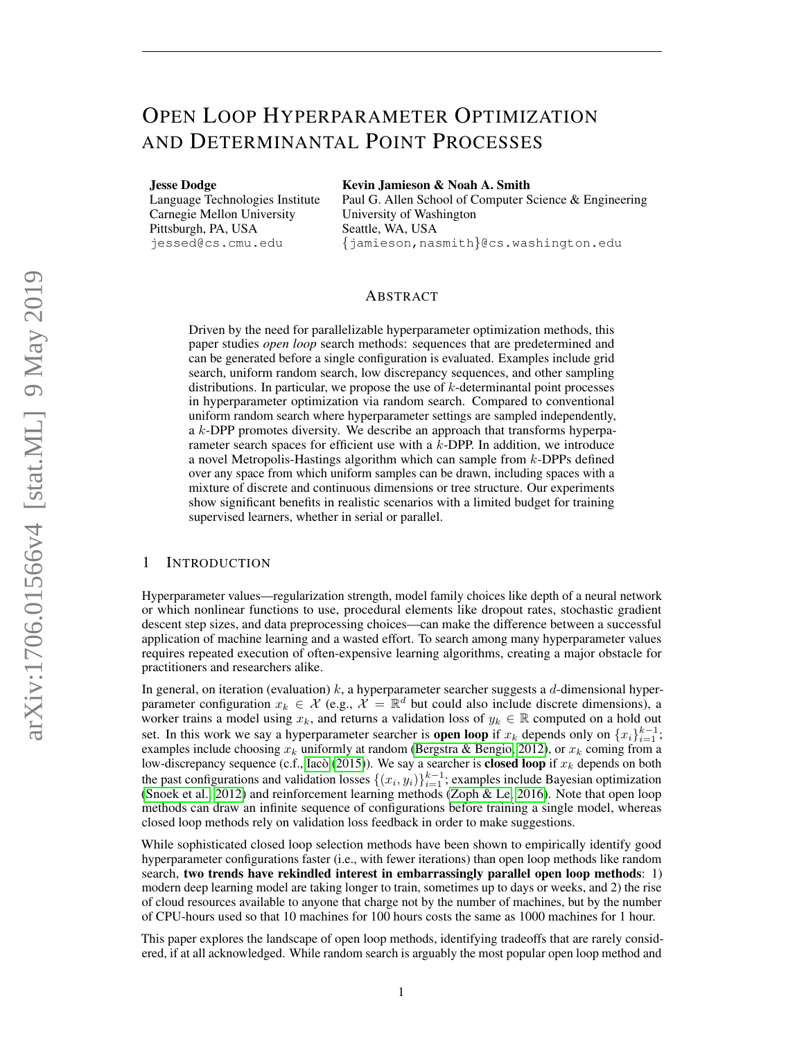# OPEN LOOP HYPERPARAMETER OPTIMIZATION AND DETERMINANTAL POINT PROCESSES

Jesse Dodge

Language Technologies Institute Carnegie Mellon University Pittsburgh, PA, USA jessed@cs.cmu.edu

Kevin Jamieson & Noah A. Smith

Paul G. Allen School of Computer Science & Engineering University of Washington Seattle, WA, USA {jamieson,nasmith}@cs.washington.edu

# ABSTRACT

Driven by the need for parallelizable hyperparameter optimization methods, this paper studies *open loop* search methods: sequences that are predetermined and can be generated before a single configuration is evaluated. Examples include grid search, uniform random search, low discrepancy sequences, and other sampling distributions. In particular, we propose the use of k-determinantal point processes in hyperparameter optimization via random search. Compared to conventional uniform random search where hyperparameter settings are sampled independently, a k-DPP promotes diversity. We describe an approach that transforms hyperparameter search spaces for efficient use with a k-DPP. In addition, we introduce a novel Metropolis-Hastings algorithm which can sample from k-DPPs defined over any space from which uniform samples can be drawn, including spaces with a mixture of discrete and continuous dimensions or tree structure. Our experiments show significant benefits in realistic scenarios with a limited budget for training supervised learners, whether in serial or parallel.

# 1 INTRODUCTION

Hyperparameter values—regularization strength, model family choices like depth of a neural network or which nonlinear functions to use, procedural elements like dropout rates, stochastic gradient descent step sizes, and data preprocessing choices—can make the difference between a successful application of machine learning and a wasted effort. To search among many hyperparameter values requires repeated execution of often-expensive learning algorithms, creating a major obstacle for practitioners and researchers alike.

In general, on iteration (evaluation)  $k$ , a hyperparameter searcher suggests a  $d$ -dimensional hyperparameter configuration  $x_k \in \mathcal{X}$  (e.g.,  $\mathcal{X} = \mathbb{R}^d$  but could also include discrete dimensions), a worker trains a model using  $x_k$ , and returns a validation loss of  $y_k \in \mathbb{R}$  computed on a hold out set. In this work we say a hyperparameter searcher is **open loop** if  $x_k$  depends only on  $\{x_i\}_{i=1}^{k-1}$ ; examples include choosing  $x_k$  uniformly at random [\(Bergstra & Bengio, 2012\)](#page-10-0), or  $x_k$  coming from a low-discrepancy sequence (c.f., Iacò [\(2015\)](#page-10-1)). We say a searcher is **closed loop** if  $x_k$  depends on both the past configurations and validation losses  $\{(x_i, y_i)\}_{i=1}^{k-1}$ ; examples include Bayesian optimization [\(Snoek et al., 2012\)](#page-11-0) and reinforcement learning methods [\(Zoph & Le, 2016\)](#page-11-1). Note that open loop methods can draw an infinite sequence of configurations before training a single model, whereas closed loop methods rely on validation loss feedback in order to make suggestions.

While sophisticated closed loop selection methods have been shown to empirically identify good hyperparameter configurations faster (i.e., with fewer iterations) than open loop methods like random search, two trends have rekindled interest in embarrassingly parallel open loop methods: 1) modern deep learning model are taking longer to train, sometimes up to days or weeks, and 2) the rise of cloud resources available to anyone that charge not by the number of machines, but by the number of CPU-hours used so that 10 machines for 100 hours costs the same as 1000 machines for 1 hour.

This paper explores the landscape of open loop methods, identifying tradeoffs that are rarely considered, if at all acknowledged. While random search is arguably the most popular open loop method and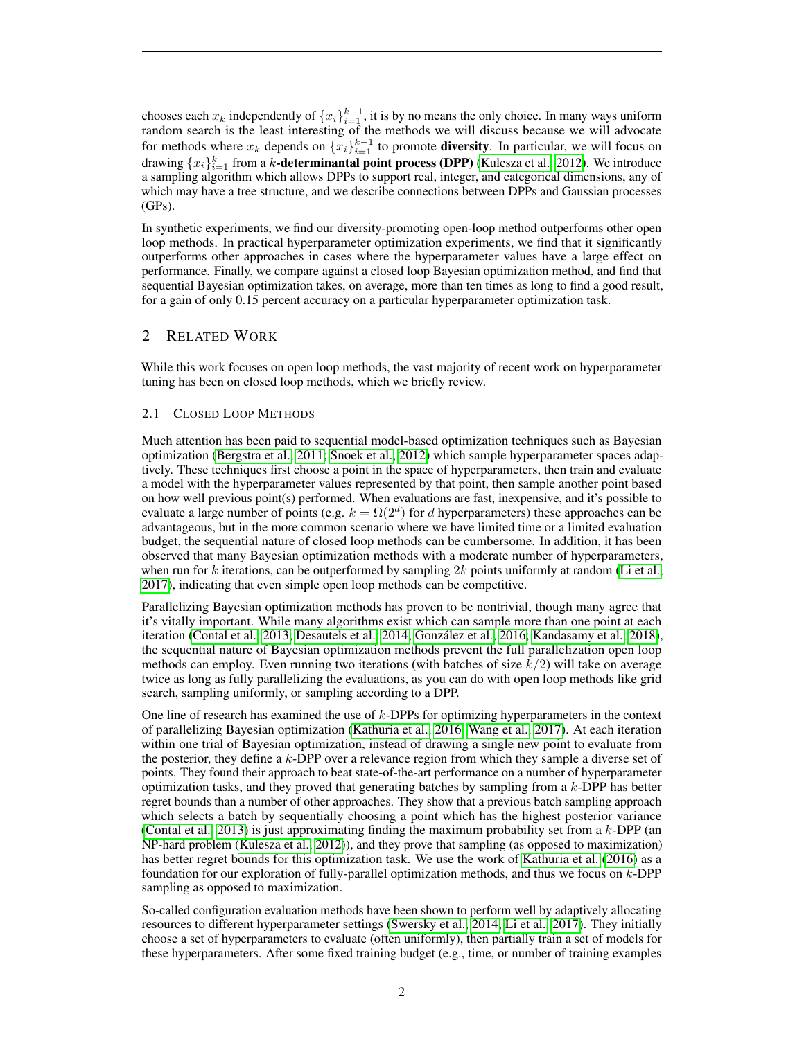chooses each  $x_k$  independently of  $\{x_i\}_{i=1}^{k-1}$ , it is by no means the only choice. In many ways uniform random search is the least interesting of the methods we will discuss because we will advocate for methods where  $x_k$  depends on  $\{x_i\}_{i=1}^{k-1}$  to promote **diversity**. In particular, we will focus on drawing  $\{x_i\}_{i=1}^k$  from a k-**determinantal point process (DPP)** [\(Kulesza et al., 2012\)](#page-10-2). We introduce a sampling algorithm which allows DPPs to support real, integer, and categorical dimensions, any of which may have a tree structure, and we describe connections between DPPs and Gaussian processes  $(GPs)$ .

In synthetic experiments, we find our diversity-promoting open-loop method outperforms other open loop methods. In practical hyperparameter optimization experiments, we find that it significantly outperforms other approaches in cases where the hyperparameter values have a large effect on performance. Finally, we compare against a closed loop Bayesian optimization method, and find that sequential Bayesian optimization takes, on average, more than ten times as long to find a good result, for a gain of only 0.15 percent accuracy on a particular hyperparameter optimization task.

# 2 RELATED WORK

While this work focuses on open loop methods, the vast majority of recent work on hyperparameter tuning has been on closed loop methods, which we briefly review.

## 2.1 CLOSED LOOP METHODS

Much attention has been paid to sequential model-based optimization techniques such as Bayesian optimization [\(Bergstra et al., 2011;](#page-10-3) [Snoek et al., 2012\)](#page-11-0) which sample hyperparameter spaces adaptively. These techniques first choose a point in the space of hyperparameters, then train and evaluate a model with the hyperparameter values represented by that point, then sample another point based on how well previous point(s) performed. When evaluations are fast, inexpensive, and it's possible to evaluate a large number of points (e.g.  $k = \Omega(2^d)$  for d hyperparameters) these approaches can be advantageous, but in the more common scenario where we have limited time or a limited evaluation budget, the sequential nature of closed loop methods can be cumbersome. In addition, it has been observed that many Bayesian optimization methods with a moderate number of hyperparameters, when run for k iterations, can be outperformed by sampling 2k points uniformly at random [\(Li et al.,](#page-10-4) [2017\)](#page-10-4), indicating that even simple open loop methods can be competitive.

Parallelizing Bayesian optimization methods has proven to be nontrivial, though many agree that it's vitally important. While many algorithms exist which can sample more than one point at each iteration [\(Contal et al., 2013;](#page-10-5) [Desautels et al., 2014;](#page-10-6) [Gonzalez et al., 2016;](#page-10-7) [Kandasamy et al., 2018\)](#page-10-8), ´ the sequential nature of Bayesian optimization methods prevent the full parallelization open loop methods can employ. Even running two iterations (with batches of size  $k/2$ ) will take on average twice as long as fully parallelizing the evaluations, as you can do with open loop methods like grid search, sampling uniformly, or sampling according to a DPP.

One line of research has examined the use of k-DPPs for optimizing hyperparameters in the context of parallelizing Bayesian optimization [\(Kathuria et al., 2016;](#page-10-9) [Wang et al., 2017\)](#page-11-2). At each iteration within one trial of Bayesian optimization, instead of drawing a single new point to evaluate from the posterior, they define a k-DPP over a relevance region from which they sample a diverse set of points. They found their approach to beat state-of-the-art performance on a number of hyperparameter optimization tasks, and they proved that generating batches by sampling from a  $k$ -DPP has better regret bounds than a number of other approaches. They show that a previous batch sampling approach which selects a batch by sequentially choosing a point which has the highest posterior variance [\(Contal et al., 2013\)](#page-10-5) is just approximating finding the maximum probability set from a  $k$ -DPP (an NP-hard problem [\(Kulesza et al., 2012\)](#page-10-2)), and they prove that sampling (as opposed to maximization) has better regret bounds for this optimization task. We use the work of [Kathuria et al.](#page-10-9) [\(2016\)](#page-10-9) as a foundation for our exploration of fully-parallel optimization methods, and thus we focus on  $k$ -DPP sampling as opposed to maximization.

So-called configuration evaluation methods have been shown to perform well by adaptively allocating resources to different hyperparameter settings [\(Swersky et al., 2014;](#page-11-3) [Li et al., 2017\)](#page-10-4). They initially choose a set of hyperparameters to evaluate (often uniformly), then partially train a set of models for these hyperparameters. After some fixed training budget (e.g., time, or number of training examples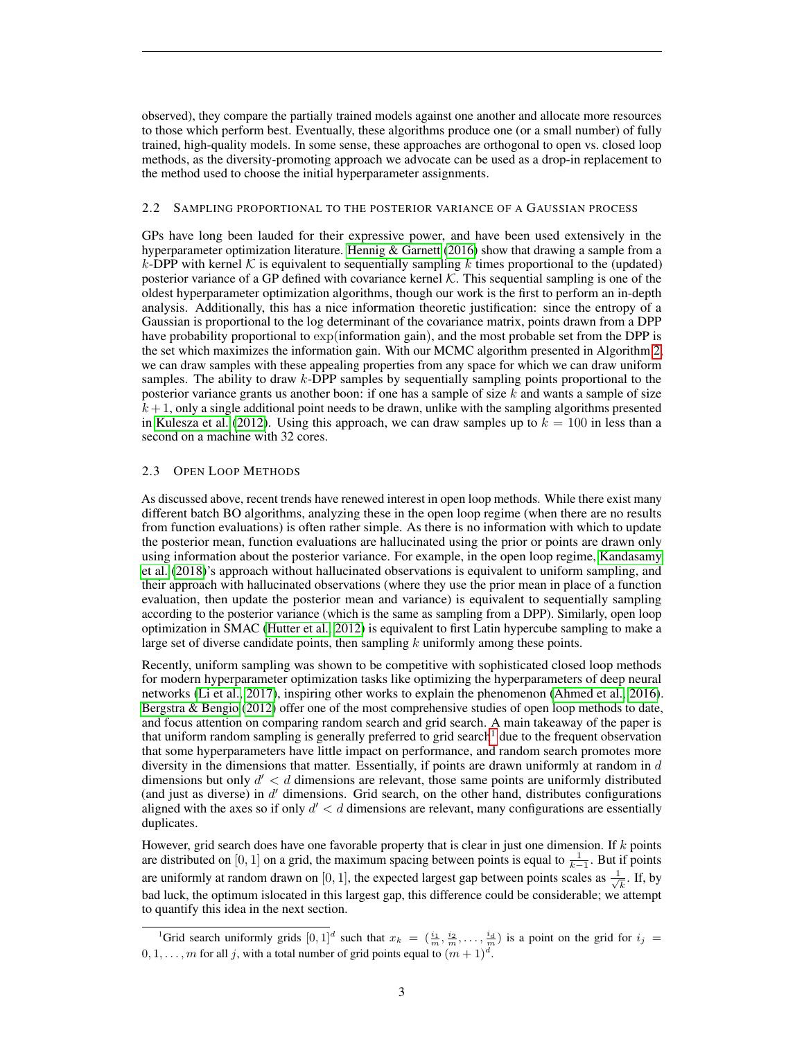observed), they compare the partially trained models against one another and allocate more resources to those which perform best. Eventually, these algorithms produce one (or a small number) of fully trained, high-quality models. In some sense, these approaches are orthogonal to open vs. closed loop methods, as the diversity-promoting approach we advocate can be used as a drop-in replacement to the method used to choose the initial hyperparameter assignments.

#### <span id="page-2-1"></span>2.2 SAMPLING PROPORTIONAL TO THE POSTERIOR VARIANCE OF A GAUSSIAN PROCESS

GPs have long been lauded for their expressive power, and have been used extensively in the hyperparameter optimization literature. [Hennig & Garnett](#page-10-10) [\(2016\)](#page-10-10) show that drawing a sample from a k-DPP with kernel K is equivalent to sequentially sampling k times proportional to the (updated) posterior variance of a GP defined with covariance kernel  $K$ . This sequential sampling is one of the oldest hyperparameter optimization algorithms, though our work is the first to perform an in-depth analysis. Additionally, this has a nice information theoretic justification: since the entropy of a Gaussian is proportional to the log determinant of the covariance matrix, points drawn from a DPP have probability proportional to  $exp(information gain)$ , and the most probable set from the DPP is the set which maximizes the information gain. With our MCMC algorithm presented in Algorithm [2,](#page-6-0) we can draw samples with these appealing properties from any space for which we can draw uniform samples. The ability to draw  $k$ -DPP samples by sequentially sampling points proportional to the posterior variance grants us another boon: if one has a sample of size  $k$  and wants a sample of size  $k+1$ , only a single additional point needs to be drawn, unlike with the sampling algorithms presented in [Kulesza et al.](#page-10-2) [\(2012\)](#page-10-2). Using this approach, we can draw samples up to  $k = 100$  in less than a second on a machine with 32 cores.

## 2.3 OPEN LOOP METHODS

As discussed above, recent trends have renewed interest in open loop methods. While there exist many different batch BO algorithms, analyzing these in the open loop regime (when there are no results from function evaluations) is often rather simple. As there is no information with which to update the posterior mean, function evaluations are hallucinated using the prior or points are drawn only using information about the posterior variance. For example, in the open loop regime, [Kandasamy](#page-10-8) [et al.](#page-10-8) [\(2018\)](#page-10-8)'s approach without hallucinated observations is equivalent to uniform sampling, and their approach with hallucinated observations (where they use the prior mean in place of a function evaluation, then update the posterior mean and variance) is equivalent to sequentially sampling according to the posterior variance (which is the same as sampling from a DPP). Similarly, open loop optimization in SMAC [\(Hutter et al., 2012\)](#page-10-11) is equivalent to first Latin hypercube sampling to make a large set of diverse candidate points, then sampling  $k$  uniformly among these points.

Recently, uniform sampling was shown to be competitive with sophisticated closed loop methods for modern hyperparameter optimization tasks like optimizing the hyperparameters of deep neural networks [\(Li et al., 2017\)](#page-10-4), inspiring other works to explain the phenomenon [\(Ahmed et al., 2016\)](#page-9-0). [Bergstra & Bengio](#page-10-0) [\(2012\)](#page-10-0) offer one of the most comprehensive studies of open loop methods to date, and focus attention on comparing random search and grid search. A main takeaway of the paper is that uniform random sampling is generally preferred to grid search<sup>[1](#page-2-0)</sup> due to the frequent observation that some hyperparameters have little impact on performance, and random search promotes more diversity in the dimensions that matter. Essentially, if points are drawn uniformly at random in  $d$ dimensions but only  $d' < d$  dimensions are relevant, those same points are uniformly distributed (and just as diverse) in  $d'$  dimensions. Grid search, on the other hand, distributes configurations aligned with the axes so if only  $d' < d$  dimensions are relevant, many configurations are essentially duplicates.

However, grid search does have one favorable property that is clear in just one dimension. If  $k$  points are distributed on [0, 1] on a grid, the maximum spacing between points is equal to  $\frac{1}{k-1}$ . But if points are uniformly at random drawn on [0, 1], the expected largest gap between points scales as  $\frac{1}{\sqrt{2}}$  $\frac{1}{k}$ . If, by bad luck, the optimum islocated in this largest gap, this difference could be considerable; we attempt to quantify this idea in the next section.

<span id="page-2-0"></span><sup>&</sup>lt;sup>1</sup>Grid search uniformly grids  $[0,1]^d$  such that  $x_k = (\frac{i_1}{m}, \frac{i_2}{m}, \dots, \frac{i_d}{m})$  is a point on the grid for  $i_j =$  $0, 1, \ldots, m$  for all j, with a total number of grid points equal to  $(m + 1)^d$ .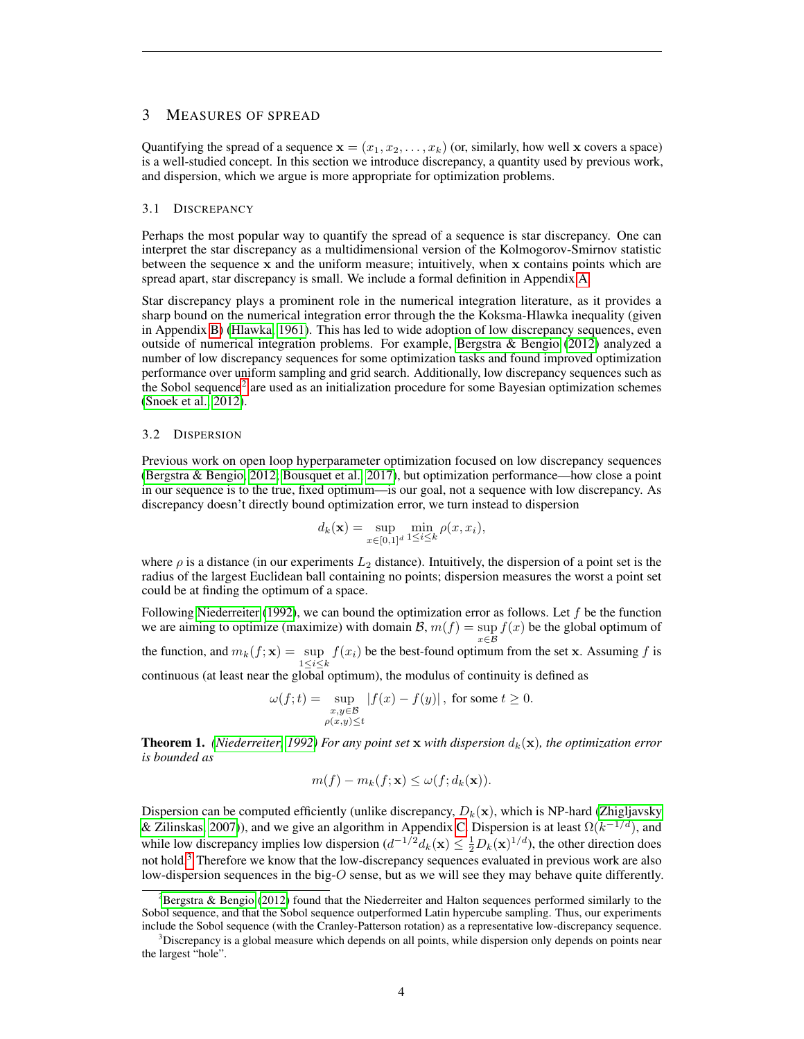# 3 MEASURES OF SPREAD

Quantifying the spread of a sequence  $\mathbf{x} = (x_1, x_2, \dots, x_k)$  (or, similarly, how well x covers a space) is a well-studied concept. In this section we introduce discrepancy, a quantity used by previous work, and dispersion, which we argue is more appropriate for optimization problems.

#### 3.1 DISCREPANCY

Perhaps the most popular way to quantify the spread of a sequence is star discrepancy. One can interpret the star discrepancy as a multidimensional version of the Kolmogorov-Smirnov statistic between the sequence  $x$  and the uniform measure; intuitively, when  $x$  contains points which are spread apart, star discrepancy is small. We include a formal definition in Appendix [A.](#page-12-0)

Star discrepancy plays a prominent role in the numerical integration literature, as it provides a sharp bound on the numerical integration error through the the Koksma-Hlawka inequality (given in Appendix [B\)](#page-12-1) [\(Hlawka, 1961\)](#page-10-12). This has led to wide adoption of low discrepancy sequences, even outside of numerical integration problems. For example, [Bergstra & Bengio](#page-10-0) [\(2012\)](#page-10-0) analyzed a number of low discrepancy sequences for some optimization tasks and found improved optimization performance over uniform sampling and grid search. Additionally, low discrepancy sequences such as the Sobol sequence<sup>[2](#page-3-0)</sup> are used as an initialization procedure for some Bayesian optimization schemes [\(Snoek et al., 2012\)](#page-11-0).

#### 3.2 DISPERSION

Previous work on open loop hyperparameter optimization focused on low discrepancy sequences [\(Bergstra & Bengio, 2012;](#page-10-0) [Bousquet et al., 2017\)](#page-10-13), but optimization performance—how close a point in our sequence is to the true, fixed optimum—is our goal, not a sequence with low discrepancy. As discrepancy doesn't directly bound optimization error, we turn instead to dispersion

$$
d_k(\mathbf{x}) = \sup_{x \in [0,1]^d} \min_{1 \le i \le k} \rho(x, x_i),
$$

where  $\rho$  is a distance (in our experiments  $L_2$  distance). Intuitively, the dispersion of a point set is the radius of the largest Euclidean ball containing no points; dispersion measures the worst a point set could be at finding the optimum of a space.

Following [Niederreiter](#page-10-14) [\(1992\)](#page-10-14), we can bound the optimization error as follows. Let  $f$  be the function we are aiming to optimize (maximize) with domain  $\mathcal{B}$ ,  $m(f) = \sup f(x)$  be the global optimum of  $x\in \mathcal{B}$ the function, and  $m_k(f; \mathbf{x}) = \sup f(x_i)$  be the best-found optimum from the set x. Assuming f is  $1 \leq i \leq k$ 

continuous (at least near the global optimum), the modulus of continuity is defined as

$$
\omega(f;t) = \sup_{\substack{x,y \in \mathcal{B} \\ \rho(x,y) \le t}} |f(x) - f(y)| \text{, for some } t \ge 0.
$$

**Theorem 1.** *[\(Niederreiter, 1992\)](#page-10-14) For any point set* x *with dispersion*  $d_k(\mathbf{x})$ *, the optimization error is bounded as*

$$
m(f) - m_k(f; \mathbf{x}) \le \omega(f; d_k(\mathbf{x})).
$$

Dispersion can be computed efficiently (unlike discrepancy,  $D_k(\mathbf{x})$ , which is NP-hard [\(Zhigljavsky](#page-11-4) [& Zilinskas, 2007\)](#page-11-4)), and we give an algorithm in Appendix [C.](#page-12-2) Dispersion is at least  $\Omega(k^{-1/d})$ , and while low discrepancy implies low dispersion  $(d^{-1/2}d_k(\mathbf{x}) \leq \frac{1}{2}D_k(\mathbf{x})^{1/d})$ , the other direction does not hold.<sup>[3](#page-3-1)</sup> Therefore we know that the low-discrepancy sequences evaluated in previous work are also low-dispersion sequences in the big- $O$  sense, but as we will see they may behave quite differently.

<span id="page-3-0"></span><sup>&</sup>lt;sup>2</sup>[Bergstra & Bengio](#page-10-0) [\(2012\)](#page-10-0) found that the Niederreiter and Halton sequences performed similarly to the Sobol sequence, and that the Sobol sequence outperformed Latin hypercube sampling. Thus, our experiments include the Sobol sequence (with the Cranley-Patterson rotation) as a representative low-discrepancy sequence.

<span id="page-3-1"></span><sup>&</sup>lt;sup>3</sup>Discrepancy is a global measure which depends on all points, while dispersion only depends on points near the largest "hole".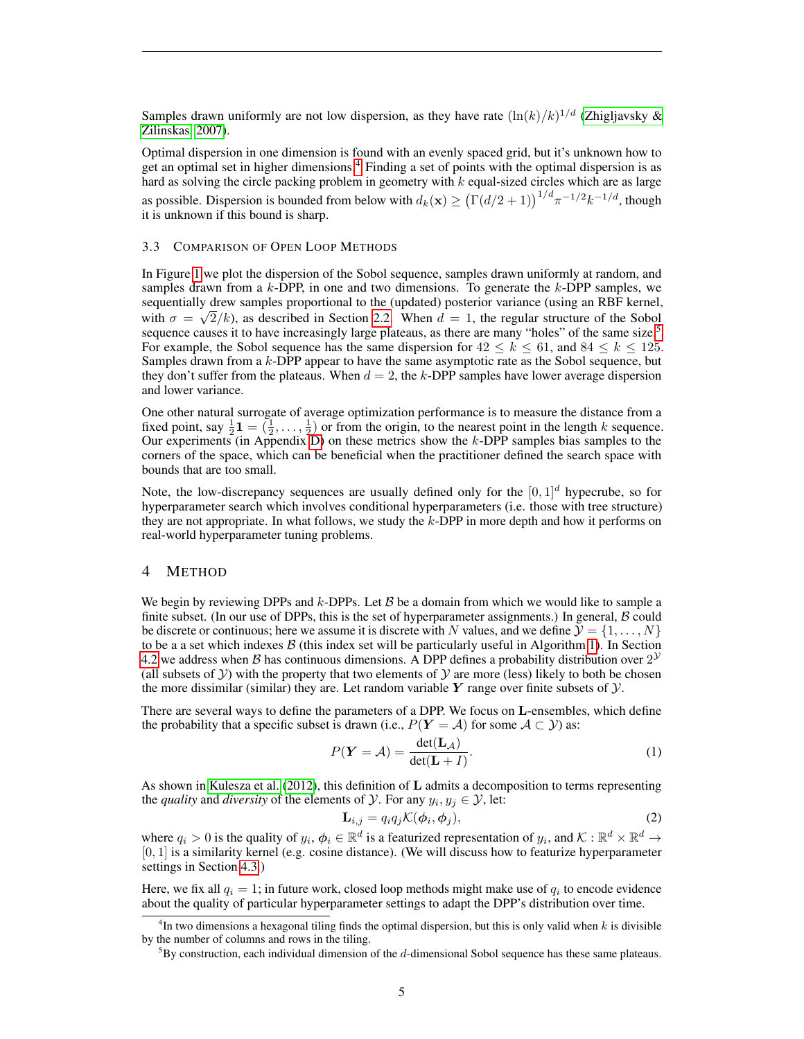Samples drawn uniformly are not low dispersion, as they have rate  $(\ln(k)/k)^{1/d}$  [\(Zhigljavsky &](#page-11-4) [Zilinskas, 2007\)](#page-11-4).

Optimal dispersion in one dimension is found with an evenly spaced grid, but it's unknown how to get an optimal set in higher dimensions.[4](#page-4-0) Finding a set of points with the optimal dispersion is as hard as solving the circle packing problem in geometry with k equal-sized circles which are as large as possible. Dispersion is bounded from below with  $d_k(\mathbf{x}) \ge (\Gamma(d/2+1))^{1/d} \pi^{-1/2} k^{-1/d}$ , though it is unknown if this bound is sharp.

#### 3.3 COMPARISON OF OPEN LOOP METHODS

In Figure [1](#page-5-0) we plot the dispersion of the Sobol sequence, samples drawn uniformly at random, and samples drawn from a  $k$ -DPP, in one and two dimensions. To generate the  $k$ -DPP samples, we sequentially drew samples proportional to the (updated) posterior variance (using an RBF kernel, with  $\sigma = \sqrt{2/k}$ , as described in Section [2.2.](#page-2-1) When  $d = 1$ , the regular structure of the Sobol sequence causes it to have increasingly large plateaus, as there are many "holes" of the same size.<sup>[5](#page-4-1)</sup> For example, the Sobol sequence has the same dispersion for  $42 \leq k \leq 61$ , and  $84 \leq k \leq 125$ . Samples drawn from a  $k$ -DPP appear to have the same asymptotic rate as the Sobol sequence, but they don't suffer from the plateaus. When  $d = 2$ , the k-DPP samples have lower average dispersion and lower variance.

One other natural surrogate of average optimization performance is to measure the distance from a fixed point, say  $\frac{1}{2}$  **1** =  $(\frac{1}{2}, \ldots, \frac{1}{2})$  or from the origin, to the nearest point in the length k sequence. Our experiments (in Appendix  $D$ ) on these metrics show the k-DPP samples bias samples to the corners of the space, which can be beneficial when the practitioner defined the search space with bounds that are too small.

Note, the low-discrepancy sequences are usually defined only for the  $[0, 1]^d$  hypecrube, so for hyperparameter search which involves conditional hyperparameters (i.e. those with tree structure) they are not appropriate. In what follows, we study the k-DPP in more depth and how it performs on real-world hyperparameter tuning problems.

# 4 METHOD

We begin by reviewing DPPs and k-DPPs. Let  $\beta$  be a domain from which we would like to sample a finite subset. (In our use of DPPs, this is the set of hyperparameter assignments.) In general,  $\beta$  could be discrete or continuous; here we assume it is discrete with N values, and we define  $\mathcal{Y} = \{1, \ldots, N\}$ to be a a set which indexes  $\beta$  (this index set will be particularly useful in Algorithm [1\)](#page-6-1). In Section [4.2](#page-5-1) we address when B has continuous dimensions. A DPP defines a probability distribution over  $2^{\mathcal{Y}}$ (all subsets of  $Y$ ) with the property that two elements of  $Y$  are more (less) likely to both be chosen the more dissimilar (similar) they are. Let random variable Y range over finite subsets of  $\mathcal{Y}$ .

There are several ways to define the parameters of a DPP. We focus on L-ensembles, which define the probability that a specific subset is drawn (i.e.,  $P(Y = A)$  for some  $A \subset Y$ ) as:

$$
P(\mathbf{Y} = \mathcal{A}) = \frac{\det(\mathbf{L}_{\mathcal{A}})}{\det(\mathbf{L} + I)}.
$$
 (1)

As shown in [Kulesza et al.](#page-10-2) [\(2012\)](#page-10-2), this definition of L admits a decomposition to terms representing the *quality* and *diversity* of the elements of  $Y$ . For any  $y_i, y_j \in Y$ , let:

$$
\mathbf{L}_{i,j} = q_i q_j \mathcal{K}(\boldsymbol{\phi}_i, \boldsymbol{\phi}_j), \tag{2}
$$

where  $q_i > 0$  is the quality of  $y_i, \phi_i \in \mathbb{R}^d$  is a featurized representation of  $y_i$ , and  $\mathcal{K} : \mathbb{R}^d \times \mathbb{R}^d \to$  $[0, 1]$  is a similarity kernel (e.g. cosine distance). (We will discuss how to featurize hyperparameter settings in Section [4.3.](#page-6-2))

Here, we fix all  $q_i = 1$ ; in future work, closed loop methods might make use of  $q_i$  to encode evidence about the quality of particular hyperparameter settings to adapt the DPP's distribution over time.

<span id="page-4-0"></span> $4$ In two dimensions a hexagonal tiling finds the optimal dispersion, but this is only valid when  $k$  is divisible by the number of columns and rows in the tiling.

<span id="page-4-1"></span> ${}^{5}$ By construction, each individual dimension of the d-dimensional Sobol sequence has these same plateaus.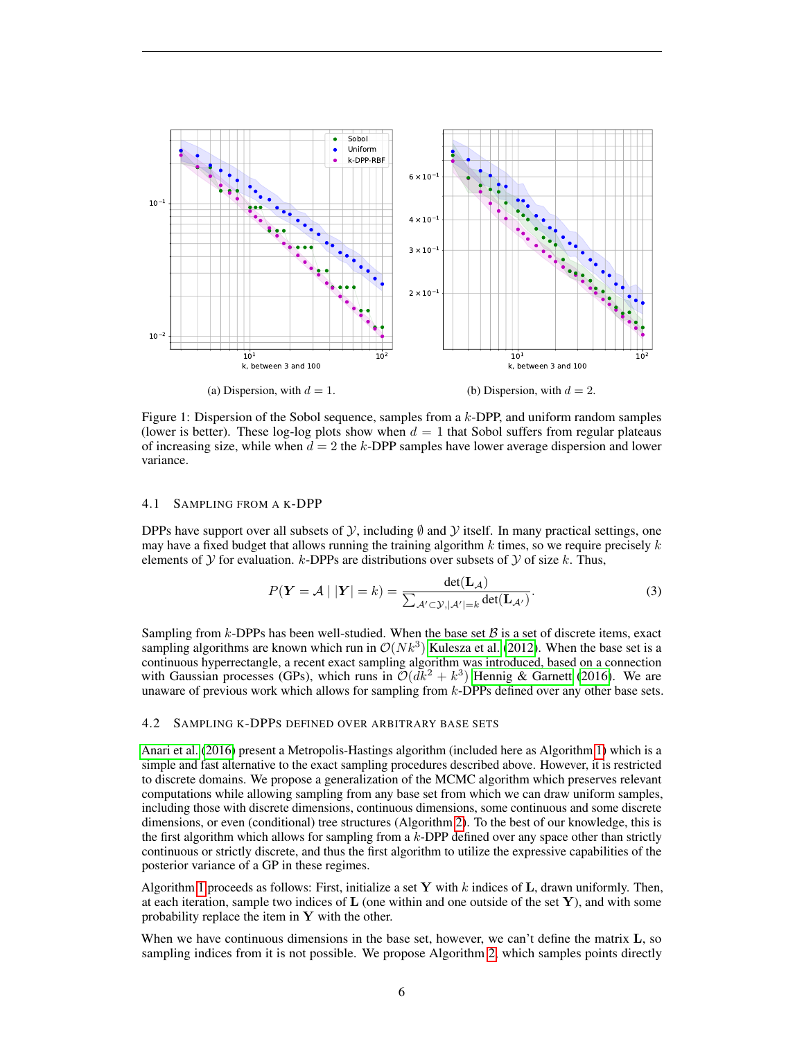<span id="page-5-0"></span>

Figure 1: Dispersion of the Sobol sequence, samples from a k-DPP, and uniform random samples (lower is better). These log-log plots show when  $d = 1$  that Sobol suffers from regular plateaus of increasing size, while when  $d = 2$  the k-DPP samples have lower average dispersion and lower variance.

#### 4.1 SAMPLING FROM A K-DPP

DPPs have support over all subsets of  $\mathcal{Y}$ , including  $\emptyset$  and  $\mathcal{Y}$  itself. In many practical settings, one may have a fixed budget that allows running the training algorithm  $k$  times, so we require precisely  $k$ elements of  $Y$  for evaluation. k-DPPs are distributions over subsets of  $Y$  of size k. Thus,

$$
P(\boldsymbol{Y} = \mathcal{A} \mid |\boldsymbol{Y}| = k) = \frac{\det(\mathbf{L}_{\mathcal{A}})}{\sum_{\mathcal{A}' \subset \mathcal{Y}, |\mathcal{A}'| = k} \det(\mathbf{L}_{\mathcal{A}'})}.
$$
(3)

Sampling from k-DPPs has been well-studied. When the base set  $\beta$  is a set of discrete items, exact sampling algorithms are known which run in  $\mathcal{O}(N k^3)$  [Kulesza et al.](#page-10-2) [\(2012\)](#page-10-2). When the base set is a continuous hyperrectangle, a recent exact sampling algorithm was introduced, based on a connection with Gaussian processes (GPs), which runs in  $\mathcal{O}(dk^2 + k^3)$  [Hennig & Garnett](#page-10-10) [\(2016\)](#page-10-10). We are unaware of previous work which allows for sampling from  $k$ -DPPs defined over any other base sets.

#### <span id="page-5-1"></span>4.2 SAMPLING K-DPPS DEFINED OVER ARBITRARY BASE SETS

[Anari et al.](#page-9-1) [\(2016\)](#page-9-1) present a Metropolis-Hastings algorithm (included here as Algorithm [1\)](#page-6-1) which is a simple and fast alternative to the exact sampling procedures described above. However, it is restricted to discrete domains. We propose a generalization of the MCMC algorithm which preserves relevant computations while allowing sampling from any base set from which we can draw uniform samples, including those with discrete dimensions, continuous dimensions, some continuous and some discrete dimensions, or even (conditional) tree structures (Algorithm [2\)](#page-6-0). To the best of our knowledge, this is the first algorithm which allows for sampling from a  $k$ -DPP defined over any space other than strictly continuous or strictly discrete, and thus the first algorithm to utilize the expressive capabilities of the posterior variance of a GP in these regimes.

Algorithm [1](#page-6-1) proceeds as follows: First, initialize a set Y with  $k$  indices of L, drawn uniformly. Then, at each iteration, sample two indices of  **(one within and one outside of the set**  $**Y**$ **), and with some** probability replace the item in  $Y$  with the other.

When we have continuous dimensions in the base set, however, we can't define the matrix **L**, so sampling indices from it is not possible. We propose Algorithm [2,](#page-6-0) which samples points directly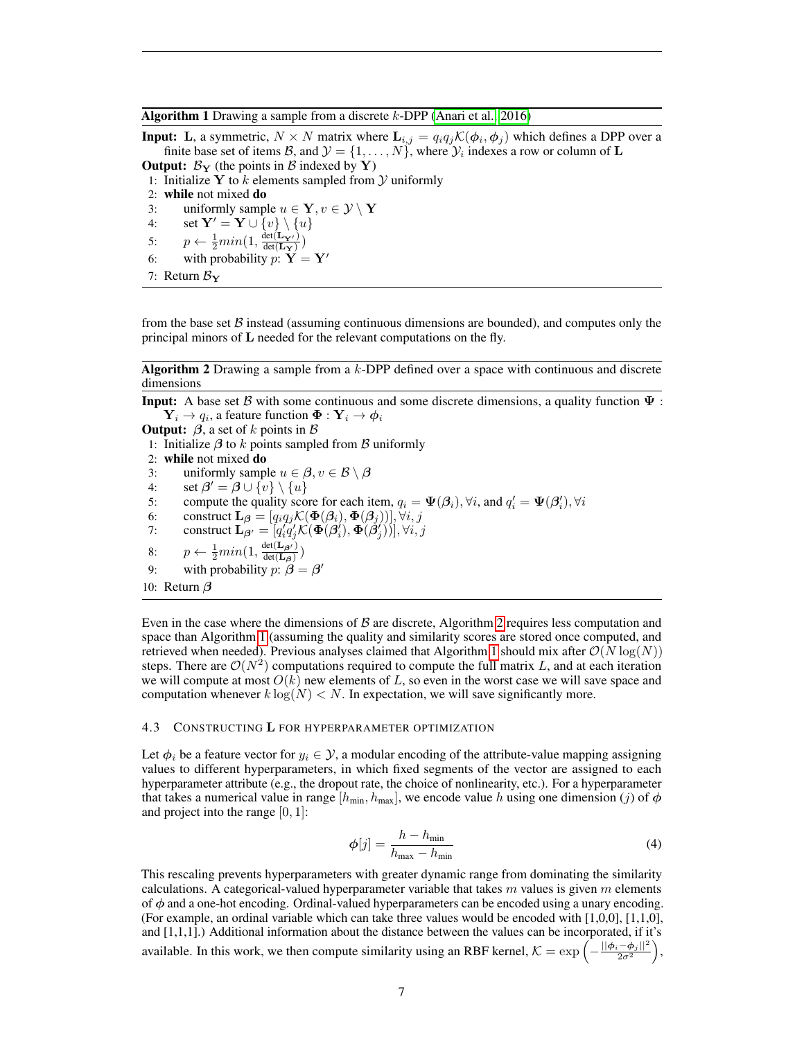#### <span id="page-6-1"></span>**Algorithm 1** Drawing a sample from a discrete  $k$ -DPP [\(Anari et al., 2016\)](#page-9-1)

**Input:** L, a symmetric,  $N \times N$  matrix where  $\mathbf{L}_{i,j} = q_i q_j \mathcal{K}(\phi_i, \phi_j)$  which defines a DPP over a finite base set of items B, and  $\mathcal{Y} = \{1, \ldots, N\}$ , where  $\mathcal{Y}_i$  indexes a row or column of  $\mathbf{L}$ 

**Output:**  $\mathcal{B}_{Y}$  (the points in  $\mathcal{B}$  indexed by Y) 1: Initialize Y to  $k$  elements sampled from  $\mathcal Y$  uniformly 2: while not mixed do

- 3: uniformly sample  $u \in \mathbf{Y}, v \in \mathcal{Y} \setminus \mathbf{Y}$
- 4: set  $\mathbf{Y}' = \mathbf{Y} \cup \{v\} \setminus \{u\}$
- 5:  $p \leftarrow \frac{1}{2} min(1, \frac{\det(\mathbf{L}_{\mathbf{Y'}})}{\det(\mathbf{L}_{\mathbf{Y}})})$
- 6: with probability  $p: Y = Y'$
- 7: Return  $B_{\rm Y}$

from the base set  $\beta$  instead (assuming continuous dimensions are bounded), and computes only the principal minors of L needed for the relevant computations on the fly.

<span id="page-6-0"></span>Algorithm 2 Drawing a sample from a k-DPP defined over a space with continuous and discrete dimensions

**Input:** A base set B with some continuous and some discrete dimensions, a quality function  $\Psi$ :  $\mathbf{Y}_i \rightarrow q_i$ , a feature function  $\mathbf{\Phi} : \mathbf{Y}_i \rightarrow \boldsymbol{\phi}_i$ 

**Output:**  $\beta$ , a set of k points in  $\beta$ 1: Initialize  $\beta$  to k points sampled from  $\beta$  uniformly 2: while not mixed do 3: uniformly sample  $u \in \beta$ ,  $v \in \mathcal{B} \setminus \beta$ 4:  $\quad \text{set } \beta' = \beta \cup \{v\} \setminus \{u\}$ 5: compute the quality score for each item,  $q_i = \Psi(\beta_i)$ ,  $\forall i$ , and  $q'_i = \Psi(\beta'_i)$ ,  $\forall i$ 6: construct  $\mathbf{L}_{\beta} = [q_i q_j \mathcal{K}(\boldsymbol{\Phi}(\beta_i), \boldsymbol{\Phi}(\beta_j))], \forall i, j$ 7: construct  $\mathbf{L}_{\boldsymbol{\beta}'} = [q'_i q'_j \mathcal{K}(\boldsymbol{\Phi}(\boldsymbol{\beta}_i'), \boldsymbol{\Phi}(\boldsymbol{\beta}_j'))], \forall i, j$ i 8:  $p \leftarrow \frac{1}{2} min(1, \frac{\det(\mathbf{L}_{\boldsymbol{\beta'}})}{\det(\mathbf{L}_{\boldsymbol{\beta}})}$  $\frac{\det(\mathbf{L}_{\boldsymbol{\beta}})}{\det(\mathbf{L}_{\boldsymbol{\beta}})}$ 

- 9: with probability  $p: \beta = \beta'$
- 10: Return  $\beta$

Even in the case where the dimensions of  $\beta$  are discrete, Algorithm [2](#page-6-0) requires less computation and space than Algorithm [1](#page-6-1) (assuming the quality and similarity scores are stored once computed, and retrieved when needed). Previous analyses claimed that Algorithm [1](#page-6-1) should mix after  $\mathcal{O}(N \log(N))$ steps. There are  $\mathcal{O}(N^2)$  computations required to compute the full matrix L, and at each iteration we will compute at most  $O(k)$  new elements of L, so even in the worst case we will save space and computation whenever  $k \log(N) < N$ . In expectation, we will save significantly more.

#### <span id="page-6-2"></span>4.3 CONSTRUCTING L FOR HYPERPARAMETER OPTIMIZATION

Let  $\phi_i$  be a feature vector for  $y_i \in \mathcal{Y}$ , a modular encoding of the attribute-value mapping assigning values to different hyperparameters, in which fixed segments of the vector are assigned to each hyperparameter attribute (e.g., the dropout rate, the choice of nonlinearity, etc.). For a hyperparameter that takes a numerical value in range  $[h_{\min}, h_{\max}]$ , we encode value h using one dimension (j) of  $\phi$ and project into the range  $[0, 1]$ :

$$
\phi[j] = \frac{h - h_{\min}}{h_{\max} - h_{\min}}\tag{4}
$$

This rescaling prevents hyperparameters with greater dynamic range from dominating the similarity calculations. A categorical-valued hyperparameter variable that takes  $m$  values is given  $m$  elements of  $\phi$  and a one-hot encoding. Ordinal-valued hyperparameters can be encoded using a unary encoding. (For example, an ordinal variable which can take three values would be encoded with [1,0,0], [1,1,0], and [1,1,1].) Additional information about the distance between the values can be incorporated, if it's available. In this work, we then compute similarity using an RBF kernel,  $\mathcal{K} = \exp\left(-\frac{||\phi_i - \phi_j||^2}{2\sigma^2}\right)$ ,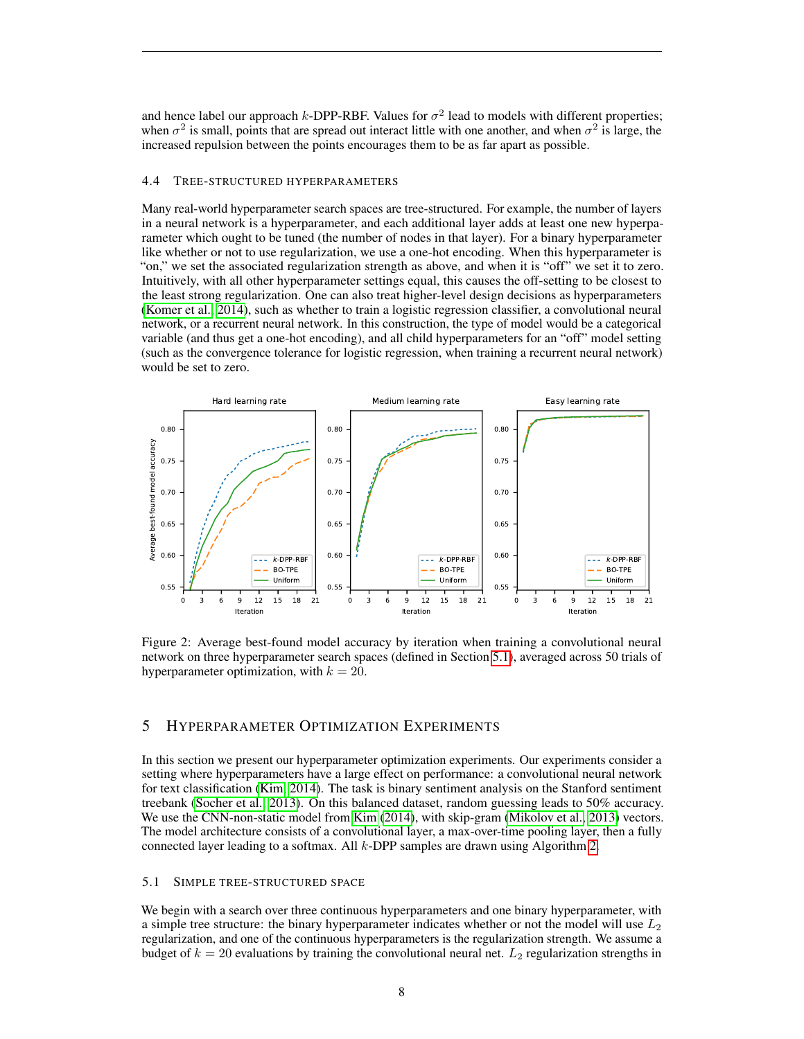and hence label our approach  $k$ -DPP-RBF. Values for  $\sigma^2$  lead to models with different properties; when  $\sigma^2$  is small, points that are spread out interact little with one another, and when  $\sigma^2$  is large, the increased repulsion between the points encourages them to be as far apart as possible.

#### 4.4 TREE-STRUCTURED HYPERPARAMETERS

Many real-world hyperparameter search spaces are tree-structured. For example, the number of layers in a neural network is a hyperparameter, and each additional layer adds at least one new hyperparameter which ought to be tuned (the number of nodes in that layer). For a binary hyperparameter like whether or not to use regularization, we use a one-hot encoding. When this hyperparameter is "on," we set the associated regularization strength as above, and when it is "off" we set it to zero. Intuitively, with all other hyperparameter settings equal, this causes the off-setting to be closest to the least strong regularization. One can also treat higher-level design decisions as hyperparameters [\(Komer et al., 2014\)](#page-10-15), such as whether to train a logistic regression classifier, a convolutional neural network, or a recurrent neural network. In this construction, the type of model would be a categorical variable (and thus get a one-hot encoding), and all child hyperparameters for an "off" model setting (such as the convergence tolerance for logistic regression, when training a recurrent neural network) would be set to zero.

<span id="page-7-1"></span>

Figure 2: Average best-found model accuracy by iteration when training a convolutional neural network on three hyperparameter search spaces (defined in Section [5.1\)](#page-7-0), averaged across 50 trials of hyperparameter optimization, with  $k = 20$ .

## 5 HYPERPARAMETER OPTIMIZATION EXPERIMENTS

In this section we present our hyperparameter optimization experiments. Our experiments consider a setting where hyperparameters have a large effect on performance: a convolutional neural network for text classification [\(Kim, 2014\)](#page-10-16). The task is binary sentiment analysis on the Stanford sentiment treebank [\(Socher et al., 2013\)](#page-11-5). On this balanced dataset, random guessing leads to 50% accuracy. We use the CNN-non-static model from [Kim](#page-10-16) [\(2014\)](#page-10-16), with skip-gram [\(Mikolov et al., 2013\)](#page-10-17) vectors. The model architecture consists of a convolutional layer, a max-over-time pooling layer, then a fully connected layer leading to a softmax. All  $k$ -DPP samples are drawn using Algorithm [2.](#page-6-0)

#### <span id="page-7-0"></span>5.1 SIMPLE TREE-STRUCTURED SPACE

We begin with a search over three continuous hyperparameters and one binary hyperparameter, with a simple tree structure: the binary hyperparameter indicates whether or not the model will use  $L_2$ regularization, and one of the continuous hyperparameters is the regularization strength. We assume a budget of  $k = 20$  evaluations by training the convolutional neural net.  $L_2$  regularization strengths in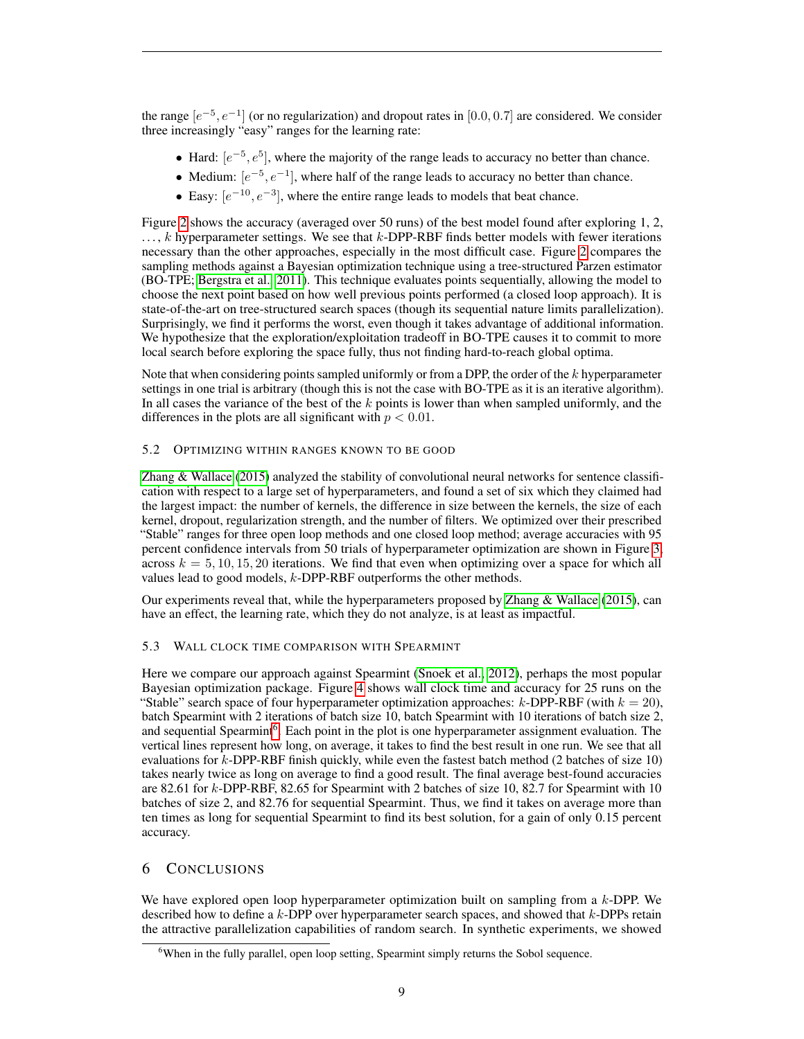the range  $[e^{-5}, e^{-1}]$  (or no regularization) and dropout rates in [0.0, 0.7] are considered. We consider three increasingly "easy" ranges for the learning rate:

- Hard:  $[e^{-5}, e^{5}]$ , where the majority of the range leads to accuracy no better than chance.
- Medium:  $[e^{-5}, e^{-1}]$ , where half of the range leads to accuracy no better than chance.
- Easy:  $[e^{-10}, e^{-3}]$ , where the entire range leads to models that beat chance.

Figure [2](#page-7-1) shows the accuracy (averaged over 50 runs) of the best model found after exploring 1, 2,  $\dots$ , k hyperparameter settings. We see that k-DPP-RBF finds better models with fewer iterations necessary than the other approaches, especially in the most difficult case. Figure [2](#page-7-1) compares the sampling methods against a Bayesian optimization technique using a tree-structured Parzen estimator (BO-TPE; [Bergstra et al., 2011\)](#page-10-3). This technique evaluates points sequentially, allowing the model to choose the next point based on how well previous points performed (a closed loop approach). It is state-of-the-art on tree-structured search spaces (though its sequential nature limits parallelization). Surprisingly, we find it performs the worst, even though it takes advantage of additional information. We hypothesize that the exploration/exploitation tradeoff in BO-TPE causes it to commit to more local search before exploring the space fully, thus not finding hard-to-reach global optima.

Note that when considering points sampled uniformly or from a DPP, the order of the  $k$  hyperparameter settings in one trial is arbitrary (though this is not the case with BO-TPE as it is an iterative algorithm). In all cases the variance of the best of the  $k$  points is lower than when sampled uniformly, and the differences in the plots are all significant with  $p < 0.01$ .

# <span id="page-8-1"></span>5.2 OPTIMIZING WITHIN RANGES KNOWN TO BE GOOD

[Zhang & Wallace](#page-11-6) [\(2015\)](#page-11-6) analyzed the stability of convolutional neural networks for sentence classification with respect to a large set of hyperparameters, and found a set of six which they claimed had the largest impact: the number of kernels, the difference in size between the kernels, the size of each kernel, dropout, regularization strength, and the number of filters. We optimized over their prescribed "Stable" ranges for three open loop methods and one closed loop method; average accuracies with 95 percent confidence intervals from 50 trials of hyperparameter optimization are shown in Figure [3,](#page-9-2) across  $k = 5, 10, 15, 20$  iterations. We find that even when optimizing over a space for which all values lead to good models, k-DPP-RBF outperforms the other methods.

Our experiments reveal that, while the hyperparameters proposed by [Zhang & Wallace](#page-11-6) [\(2015\)](#page-11-6), can have an effect, the learning rate, which they do not analyze, is at least as impactful.

# 5.3 WALL CLOCK TIME COMPARISON WITH SPEARMINT

Here we compare our approach against Spearmint [\(Snoek et al., 2012\)](#page-11-0), perhaps the most popular Bayesian optimization package. Figure [4](#page-9-3) shows wall clock time and accuracy for 25 runs on the "Stable" search space of four hyperparameter optimization approaches:  $k$ -DPP-RBF (with  $k = 20$ ), batch Spearmint with 2 iterations of batch size 10, batch Spearmint with 10 iterations of batch size 2, and sequential Spearmint<sup>[6](#page-8-0)</sup>. Each point in the plot is one hyperparameter assignment evaluation. The vertical lines represent how long, on average, it takes to find the best result in one run. We see that all evaluations for  $k$ -DPP-RBF finish quickly, while even the fastest batch method (2 batches of size 10) takes nearly twice as long on average to find a good result. The final average best-found accuracies are 82.61 for k-DPP-RBF, 82.65 for Spearmint with 2 batches of size 10, 82.7 for Spearmint with 10 batches of size 2, and 82.76 for sequential Spearmint. Thus, we find it takes on average more than ten times as long for sequential Spearmint to find its best solution, for a gain of only 0.15 percent accuracy.

# 6 CONCLUSIONS

We have explored open loop hyperparameter optimization built on sampling from a  $k$ -DPP. We described how to define a  $k$ -DPP over hyperparameter search spaces, and showed that  $k$ -DPPs retain the attractive parallelization capabilities of random search. In synthetic experiments, we showed

<span id="page-8-0"></span><sup>&</sup>lt;sup>6</sup>When in the fully parallel, open loop setting, Spearmint simply returns the Sobol sequence.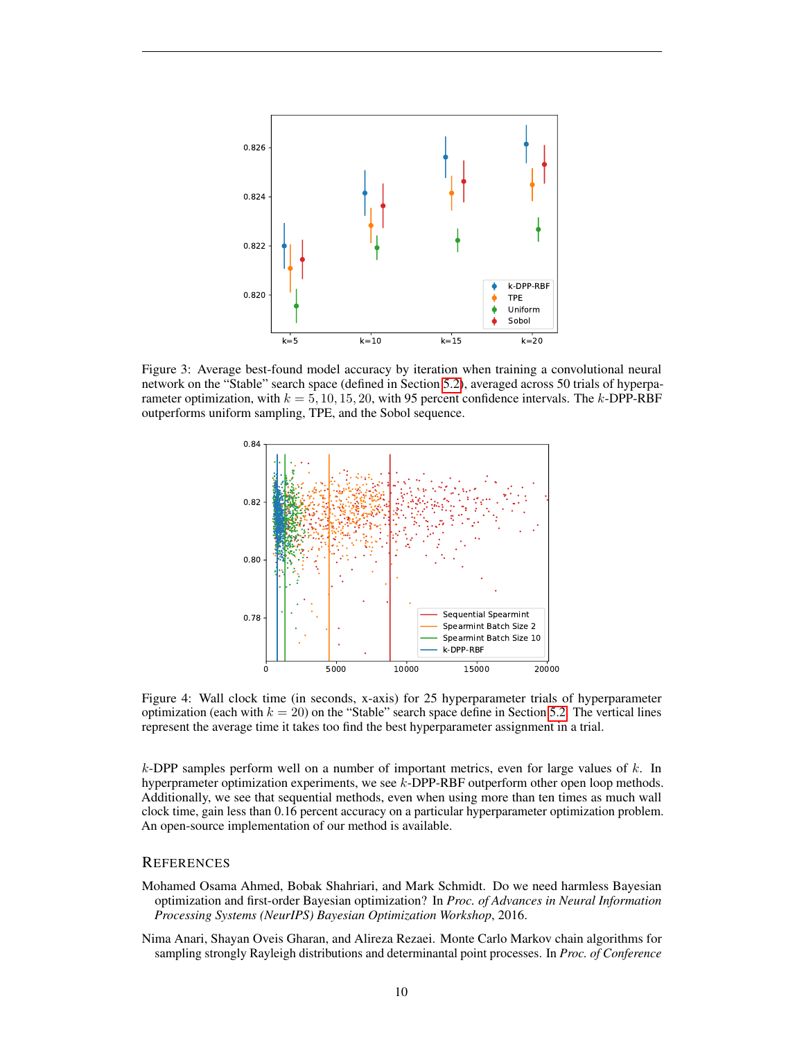<span id="page-9-2"></span>

<span id="page-9-3"></span>Figure 3: Average best-found model accuracy by iteration when training a convolutional neural network on the "Stable" search space (defined in Section [5.2\)](#page-8-1), averaged across 50 trials of hyperparameter optimization, with  $k = 5, 10, 15, 20$ , with 95 percent confidence intervals. The k-DPP-RBF outperforms uniform sampling, TPE, and the Sobol sequence.



Figure 4: Wall clock time (in seconds, x-axis) for 25 hyperparameter trials of hyperparameter optimization (each with  $k = 20$ ) on the "Stable" search space define in Section [5.2.](#page-8-1) The vertical lines represent the average time it takes too find the best hyperparameter assignment in a trial.

k-DPP samples perform well on a number of important metrics, even for large values of  $k$ . In hyperprameter optimization experiments, we see k-DPP-RBF outperform other open loop methods. Additionally, we see that sequential methods, even when using more than ten times as much wall clock time, gain less than 0.16 percent accuracy on a particular hyperparameter optimization problem. An open-source implementation of our method is available.

# **REFERENCES**

- <span id="page-9-0"></span>Mohamed Osama Ahmed, Bobak Shahriari, and Mark Schmidt. Do we need harmless Bayesian optimization and first-order Bayesian optimization? In *Proc. of Advances in Neural Information Processing Systems (NeurIPS) Bayesian Optimization Workshop*, 2016.
- <span id="page-9-1"></span>Nima Anari, Shayan Oveis Gharan, and Alireza Rezaei. Monte Carlo Markov chain algorithms for sampling strongly Rayleigh distributions and determinantal point processes. In *Proc. of Conference*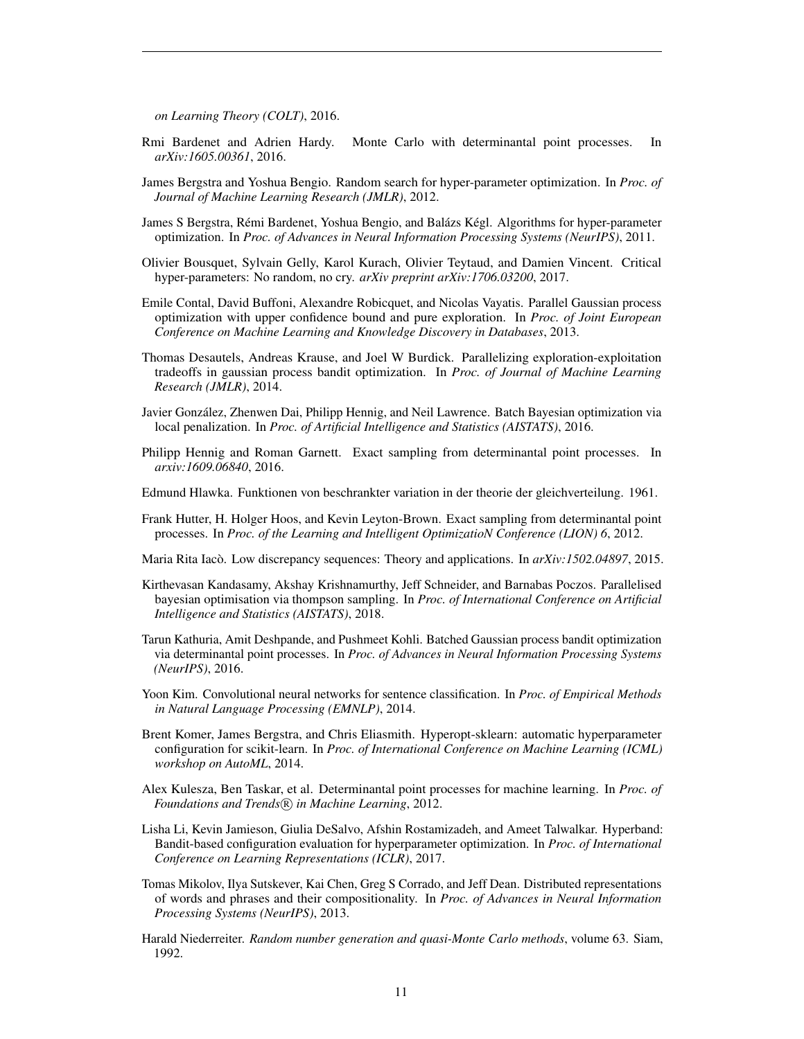*on Learning Theory (COLT)*, 2016.

- <span id="page-10-18"></span>Rmi Bardenet and Adrien Hardy. Monte Carlo with determinantal point processes. In *arXiv:1605.00361*, 2016.
- <span id="page-10-0"></span>James Bergstra and Yoshua Bengio. Random search for hyper-parameter optimization. In *Proc. of Journal of Machine Learning Research (JMLR)*, 2012.
- <span id="page-10-3"></span>James S Bergstra, Rémi Bardenet, Yoshua Bengio, and Balázs Kégl. Algorithms for hyper-parameter optimization. In *Proc. of Advances in Neural Information Processing Systems (NeurIPS)*, 2011.
- <span id="page-10-13"></span>Olivier Bousquet, Sylvain Gelly, Karol Kurach, Olivier Teytaud, and Damien Vincent. Critical hyper-parameters: No random, no cry. *arXiv preprint arXiv:1706.03200*, 2017.
- <span id="page-10-5"></span>Emile Contal, David Buffoni, Alexandre Robicquet, and Nicolas Vayatis. Parallel Gaussian process optimization with upper confidence bound and pure exploration. In *Proc. of Joint European Conference on Machine Learning and Knowledge Discovery in Databases*, 2013.
- <span id="page-10-6"></span>Thomas Desautels, Andreas Krause, and Joel W Burdick. Parallelizing exploration-exploitation tradeoffs in gaussian process bandit optimization. In *Proc. of Journal of Machine Learning Research (JMLR)*, 2014.
- <span id="page-10-7"></span>Javier Gonzalez, Zhenwen Dai, Philipp Hennig, and Neil Lawrence. Batch Bayesian optimization via ´ local penalization. In *Proc. of Artificial Intelligence and Statistics (AISTATS)*, 2016.
- <span id="page-10-10"></span>Philipp Hennig and Roman Garnett. Exact sampling from determinantal point processes. In *arxiv:1609.06840*, 2016.
- <span id="page-10-12"></span>Edmund Hlawka. Funktionen von beschrankter variation in der theorie der gleichverteilung. 1961.
- <span id="page-10-11"></span>Frank Hutter, H. Holger Hoos, and Kevin Leyton-Brown. Exact sampling from determinantal point processes. In *Proc. of the Learning and Intelligent OptimizatioN Conference (LION) 6*, 2012.
- <span id="page-10-1"></span>Maria Rita Iacò. Low discrepancy sequences: Theory and applications. In  $arXiv:1502.04897, 2015$ .
- <span id="page-10-8"></span>Kirthevasan Kandasamy, Akshay Krishnamurthy, Jeff Schneider, and Barnabas Poczos. Parallelised bayesian optimisation via thompson sampling. In *Proc. of International Conference on Artificial Intelligence and Statistics (AISTATS)*, 2018.
- <span id="page-10-9"></span>Tarun Kathuria, Amit Deshpande, and Pushmeet Kohli. Batched Gaussian process bandit optimization via determinantal point processes. In *Proc. of Advances in Neural Information Processing Systems (NeurIPS)*, 2016.
- <span id="page-10-16"></span>Yoon Kim. Convolutional neural networks for sentence classification. In *Proc. of Empirical Methods in Natural Language Processing (EMNLP)*, 2014.
- <span id="page-10-15"></span>Brent Komer, James Bergstra, and Chris Eliasmith. Hyperopt-sklearn: automatic hyperparameter configuration for scikit-learn. In *Proc. of International Conference on Machine Learning (ICML) workshop on AutoML*, 2014.
- <span id="page-10-2"></span>Alex Kulesza, Ben Taskar, et al. Determinantal point processes for machine learning. In *Proc. of Foundations and Trends* (R) *in Machine Learning*, 2012.
- <span id="page-10-4"></span>Lisha Li, Kevin Jamieson, Giulia DeSalvo, Afshin Rostamizadeh, and Ameet Talwalkar. Hyperband: Bandit-based configuration evaluation for hyperparameter optimization. In *Proc. of International Conference on Learning Representations (ICLR)*, 2017.
- <span id="page-10-17"></span>Tomas Mikolov, Ilya Sutskever, Kai Chen, Greg S Corrado, and Jeff Dean. Distributed representations of words and phrases and their compositionality. In *Proc. of Advances in Neural Information Processing Systems (NeurIPS)*, 2013.
- <span id="page-10-14"></span>Harald Niederreiter. *Random number generation and quasi-Monte Carlo methods*, volume 63. Siam, 1992.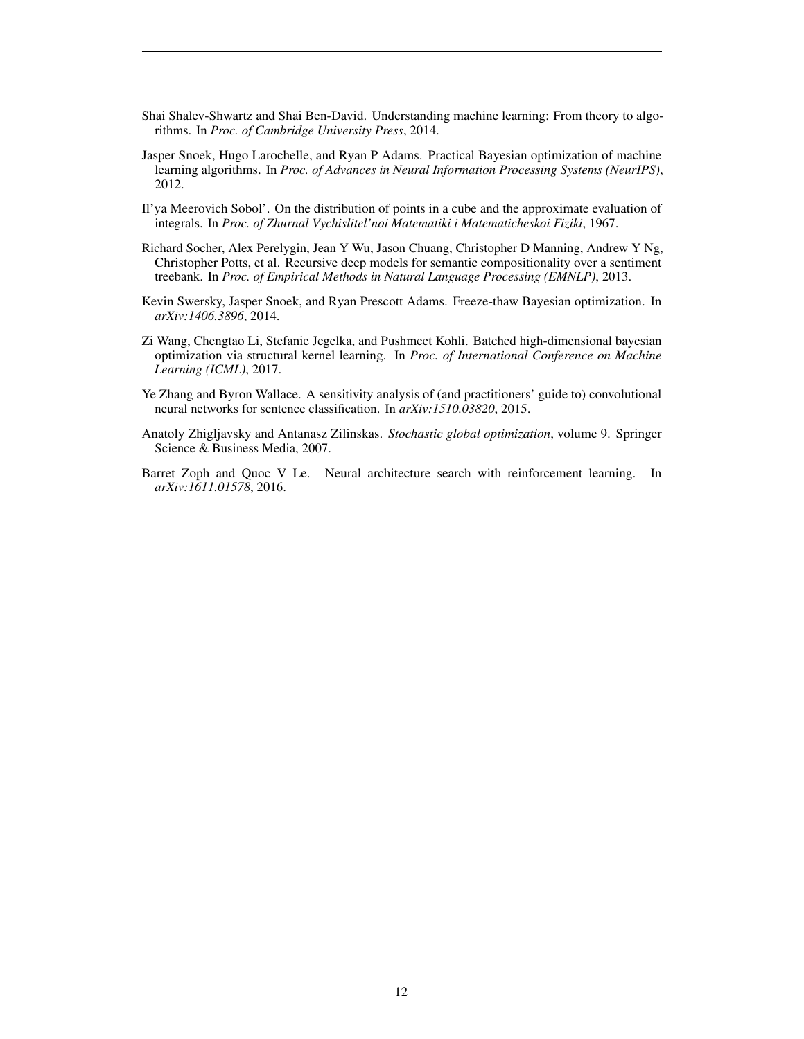- <span id="page-11-7"></span>Shai Shalev-Shwartz and Shai Ben-David. Understanding machine learning: From theory to algorithms. In *Proc. of Cambridge University Press*, 2014.
- <span id="page-11-0"></span>Jasper Snoek, Hugo Larochelle, and Ryan P Adams. Practical Bayesian optimization of machine learning algorithms. In *Proc. of Advances in Neural Information Processing Systems (NeurIPS)*, 2012.
- <span id="page-11-8"></span>Il'ya Meerovich Sobol'. On the distribution of points in a cube and the approximate evaluation of integrals. In *Proc. of Zhurnal Vychislitel'noi Matematiki i Matematicheskoi Fiziki*, 1967.
- <span id="page-11-5"></span>Richard Socher, Alex Perelygin, Jean Y Wu, Jason Chuang, Christopher D Manning, Andrew Y Ng, Christopher Potts, et al. Recursive deep models for semantic compositionality over a sentiment treebank. In *Proc. of Empirical Methods in Natural Language Processing (EMNLP)*, 2013.
- <span id="page-11-3"></span>Kevin Swersky, Jasper Snoek, and Ryan Prescott Adams. Freeze-thaw Bayesian optimization. In *arXiv:1406.3896*, 2014.
- <span id="page-11-2"></span>Zi Wang, Chengtao Li, Stefanie Jegelka, and Pushmeet Kohli. Batched high-dimensional bayesian optimization via structural kernel learning. In *Proc. of International Conference on Machine Learning (ICML)*, 2017.
- <span id="page-11-6"></span>Ye Zhang and Byron Wallace. A sensitivity analysis of (and practitioners' guide to) convolutional neural networks for sentence classification. In *arXiv:1510.03820*, 2015.
- <span id="page-11-4"></span>Anatoly Zhigljavsky and Antanasz Zilinskas. *Stochastic global optimization*, volume 9. Springer Science & Business Media, 2007.
- <span id="page-11-1"></span>Barret Zoph and Quoc V Le. Neural architecture search with reinforcement learning. In *arXiv:1611.01578*, 2016.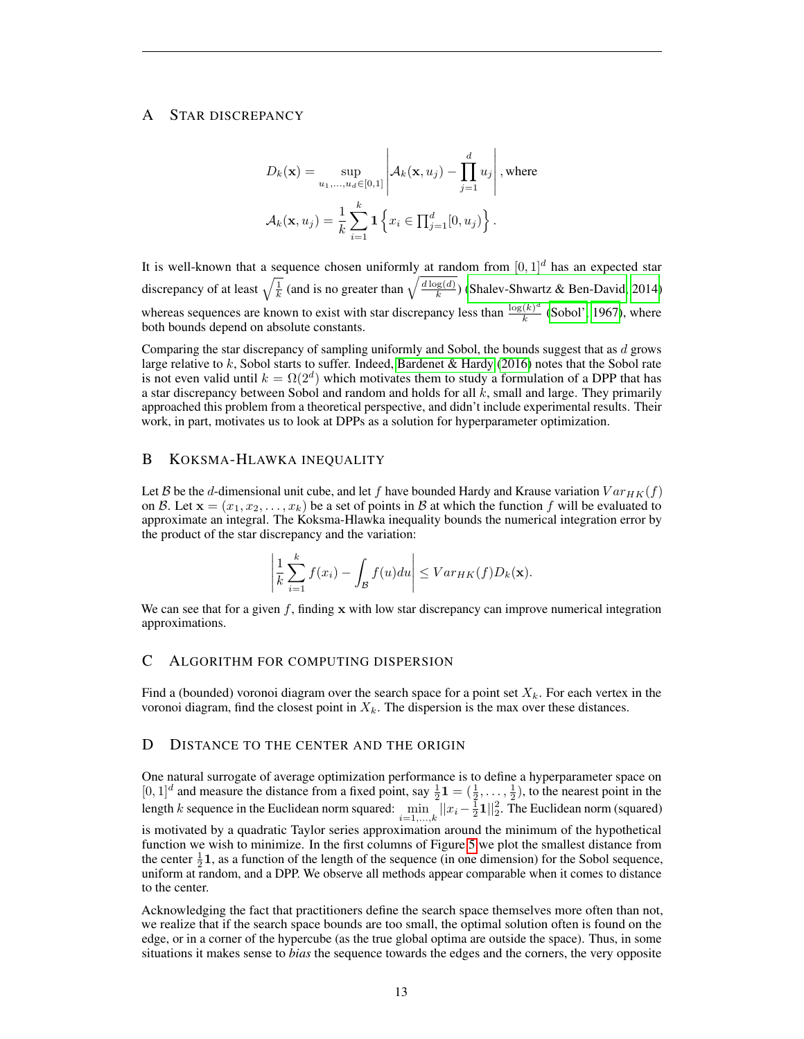# <span id="page-12-0"></span>A STAR DISCREPANCY

$$
D_k(\mathbf{x}) = \sup_{u_1, \dots, u_d \in [0,1]} \left| \mathcal{A}_k(\mathbf{x}, u_j) - \prod_{j=1}^d u_j \right|, \text{where}
$$

$$
\mathcal{A}_k(\mathbf{x}, u_j) = \frac{1}{k} \sum_{i=1}^k \mathbf{1} \left\{ x_i \in \prod_{j=1}^d [0, u_j) \right\}.
$$

It is well-known that a sequence chosen uniformly at random from  $[0, 1]^d$  has an expected star discrepancy of at least  $\sqrt{\frac{1}{k}}$  (and is no greater than  $\sqrt{\frac{d \log(d)}{k}}$  $\frac{g(a)}{k}$  [\(Shalev-Shwartz & Ben-David, 2014\)](#page-11-7) whereas sequences are known to exist with star discrepancy less than  $\frac{\log(k)^d}{k}$  $\frac{(k)}{k}$  [\(Sobol', 1967\)](#page-11-8), where both bounds depend on absolute constants.

Comparing the star discrepancy of sampling uniformly and Sobol, the bounds suggest that as  $d$  grows large relative to  $k$ , Sobol starts to suffer. Indeed, [Bardenet & Hardy](#page-10-18) [\(2016\)](#page-10-18) notes that the Sobol rate is not even valid until  $k = \Omega(2^d)$  which motivates them to study a formulation of a DPP that has a star discrepancy between Sobol and random and holds for all  $k$ , small and large. They primarily approached this problem from a theoretical perspective, and didn't include experimental results. Their work, in part, motivates us to look at DPPs as a solution for hyperparameter optimization.

#### <span id="page-12-1"></span>B KOKSMA-HLAWKA INEQUALITY

Let B be the d-dimensional unit cube, and let f have bounded Hardy and Krause variation  $Var_{HK}(f)$ on B. Let  $\mathbf{x} = (x_1, x_2, \dots, x_k)$  be a set of points in B at which the function f will be evaluated to approximate an integral. The Koksma-Hlawka inequality bounds the numerical integration error by the product of the star discrepancy and the variation:

$$
\left|\frac{1}{k}\sum_{i=1}^k f(x_i) - \int_{\mathcal{B}} f(u) du\right| \leq Var_{HK}(f)D_k(\mathbf{x}).
$$

We can see that for a given f, finding x with low star discrepancy can improve numerical integration approximations.

#### <span id="page-12-2"></span>C ALGORITHM FOR COMPUTING DISPERSION

Find a (bounded) voronoi diagram over the search space for a point set  $X_k$ . For each vertex in the voronoi diagram, find the closest point in  $X_k$ . The dispersion is the max over these distances.

#### <span id="page-12-3"></span>D DISTANCE TO THE CENTER AND THE ORIGIN

One natural surrogate of average optimization performance is to define a hyperparameter space on  $[0, 1]^d$  and measure the distance from a fixed point, say  $\frac{1}{2}\mathbf{1} = (\frac{1}{2}, \dots, \frac{1}{2})$ , to the nearest point in the length k sequence in the Euclidean norm squared:  $\min_{i=1,...,k} ||x_i - \frac{1}{2}1||_2^2$ . The Euclidean norm (squared)

is motivated by a quadratic Taylor series approximation around the minimum of the hypothetical function we wish to minimize. In the first columns of Figure [5](#page-13-0) we plot the smallest distance from the center  $\frac{1}{2}$ 1, as a function of the length of the sequence (in one dimension) for the Sobol sequence, uniform at random, and a DPP. We observe all methods appear comparable when it comes to distance to the center.

Acknowledging the fact that practitioners define the search space themselves more often than not, we realize that if the search space bounds are too small, the optimal solution often is found on the edge, or in a corner of the hypercube (as the true global optima are outside the space). Thus, in some situations it makes sense to *bias* the sequence towards the edges and the corners, the very opposite